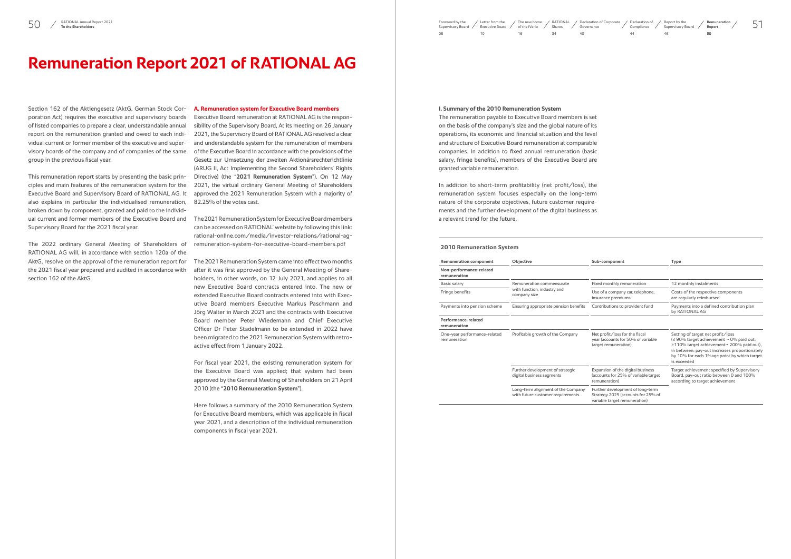# **Remuneration Report 2021 of RATIONAL AG**

Section 162 of the Aktiengesetz (AktG, German Stock Corporation Act) requires the executive and supervisory boards of listed companies to prepare a clear, understandable annual report on the remuneration granted and owed to each individual current or former member of the executive and supervisory boards of the company and of companies of the same group in the previous fiscal year.

This remuneration report starts by presenting the basic principles and main features of the remuneration system for the Executive Board and Supervisory Board of RATIONAL AG. It also explains in particular the individualised remuneration, broken down by component, granted and paid to the individ-Supervisory Board for the 2021 fiscal year.

The 2022 ordinary General Meeting of Shareholders of RATIONAL AG will, in accordance with section 120a of the AktG, resolve on the approval of the remuneration report for the 2021 fiscal year prepared and audited in accordance with section 162 of the AktG.

### **A. Remuneration system for Executive Board members**

ual current and former members of the Executive Board and The 2021 Remuneration System for Executive Board members can be accessed on RATIONAL' website by following this link: [rational-online.com/media/investor-relations/rational-ag](https://www.rational-online.com/media/investor-relations/rational-ag-remuneration-system-for-executive-board-members.pdf)[remuneration-system-for-executive-board-members.pdf](https://www.rational-online.com/media/investor-relations/rational-ag-remuneration-system-for-executive-board-members.pdf)

Executive Board remuneration at RATIONAL AG is the responsibility of the Supervisory Board, At its meeting on 26 January 2021, the Supervisory Board of RATIONAL AG resolved a clear and understandable system for the remuneration of members of the Executive Board in accordance with the provisions of the Gesetz zur Umsetzung der zweiten Aktionärsrechterichtlinie (ARUG II, Act Implementing the Second Shareholders' Rights Directive) (the **"2021 Remuneration System"**). On 12 May 2021, the virtual ordinary General Meeting of Shareholders approved the 2021 Remuneration System with a majority of 82.25% of the votes cast.

The 2021 Remuneration System came into effect two months after it was first approved by the General Meeting of Shareholders, in other words, on 12 July 2021, and applies to all new Executive Board contracts entered into. The new or extended Executive Board contracts entered into with Executive Board members Executive Markus Paschmann and Jörg Walter in March 2021 and the contracts with Executive Board member Peter Wiedemann and Chief Executive Officer Dr Peter Stadelmann to be extended in 2022 have been migrated to the 2021 Remuneration System with retroactive effect from 1 January 2022.

For fiscal year 2021, the existing remuneration system for the Executive Board was applied; that system had been approved by the General Meeting of Shareholders on 21 April 2010 (the **"2010 Remuneration System"**).

Here follows a summary of the 2010 Remuneration System for Executive Board members, which was applicable in fiscal year 2021, and a description of the individual remuneration components in fiscal year 2021.

 $50$  / RATIONAL Annual Report 2021 **Foreword by the Supervisory Board** Supervisory Board Supervisory Board of the iVario Shares Supervisory Board Supervisory Board Supervisory Board Supervisory Board Supervisory Board Supe [Supervisory Board](#page--1-0) /  $08$ Letter from the [Executive Board](#page--1-0) / 10 [RATIONAL](#page--1-0)  Shares 34 [The new home](#page--1-0)  of the iVario 16 Governance  $40$ 

#### **I. Summary of the 2010 Remuneration System**

The remuneration payable to Executive Board members is set on the basis of the company's size and the global nature of its operations, its economic and financial situation and the level and structure of Executive Board remuneration at comparable companies. In addition to fixed annual remuneration (basic salary, fringe benefits), members of the Executive Board are granted variable remuneration.

In addition to short-term profitability (net profit/loss), the remuneration system focuses especially on the long-term nature of the corporate objectives, future customer requirements and the further development of the digital business as a relevant trend for the future.

#### **2010 Remuneration System**

| <b>Remuneration component</b>                | Objective                                                               | Sub-component                                                                                           | <b>Type</b>                                               |  |
|----------------------------------------------|-------------------------------------------------------------------------|---------------------------------------------------------------------------------------------------------|-----------------------------------------------------------|--|
| Non-performance-related<br>remuneration      |                                                                         |                                                                                                         |                                                           |  |
| Basic salary                                 | Remuneration commensurate                                               | Fixed monthly remuneration                                                                              | 12 <sub>m</sub>                                           |  |
| Fringe benefits                              | with function, industry and<br>company size                             | Use of a company car, telephone,<br>insurance premiums                                                  | Cost<br>are r                                             |  |
| Payments into pension scheme                 | Ensuring appropriate pension benefits                                   | Contributions to provident fund                                                                         | Payn<br>by R                                              |  |
| Performance-related<br>remuneration          |                                                                         |                                                                                                         |                                                           |  |
| One-year performance-related<br>remuneration | Profitable growth of the Company                                        | Net profit/loss for the fiscal<br>year (accounts for 50% of variable<br>target remuneration)            | Setti<br>(≤ 90<br>$\geq 110$<br>in be<br>by $10$<br>is ex |  |
|                                              | Further development of strategic<br>digital business segments           | Expansion of the digital business<br>(accounts for 25% of variable target<br>remuneration)              | Targe<br>Boar<br>acco                                     |  |
|                                              | Long-term alignment of the Company<br>with future customer requirements | Further development of long-term<br>Strategy 2025 (accounts for 25% of<br>variable target remuneration) |                                                           |  |



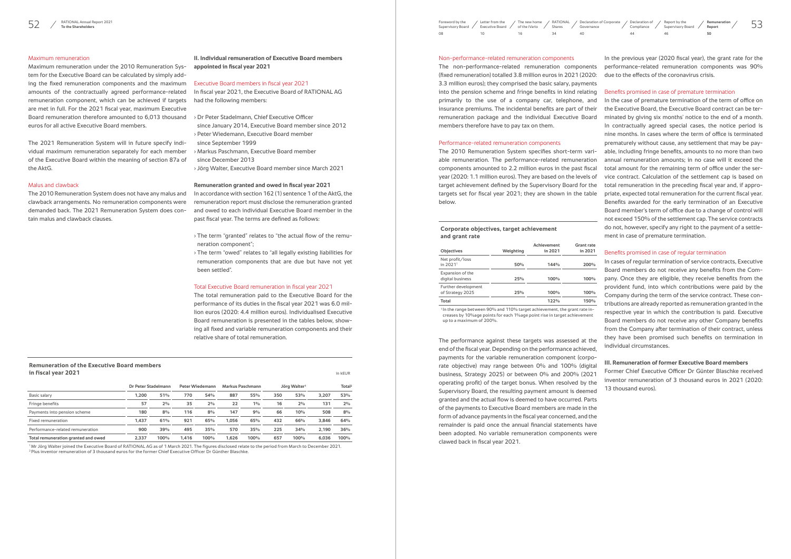# Maximum remuneration

Maximum remuneration under the 2010 Remuneration System for the Executive Board can be calculated by simply adding the fixed remuneration components and the maximum amounts of the contractually agreed performance-related remuneration component, which can be achieved if targets are met in full. For the 2021 fiscal year, maximum Executive Board remuneration therefore amounted to 6,013 thousand euros for all active Executive Board members.

The 2021 Remuneration System will in future specify individual maximum remuneration separately for each member of the Executive Board within the meaning of section 87a of the AktG.

## Malus and clawback

The 2010 Remuneration System does not have any malus and clawback arrangements. No remuneration components were demanded back. The 2021 Remuneration System does contain malus and clawback clauses.

# **II. Individual remuneration of Executive Board members appointed in fiscal year 2021**

#### Executive Board members in fiscal year 2021

In fiscal year 2021, the Executive Board of RATIONAL AG had the following members:

# **Remuneration of the Executive Board members in fiscal year 2021 in kEUR in kEUR in kEUR in kEUR in kEUR**

- › Dr Peter Stadelmann, Chief Executive Officer since January 2014, Executive Board member since 2012 › Peter Wiedemann, Executive Board member
- since September 1999 › Markus Paschmann, Executive Board member
- since December 2013
- 
- › Jörg Walter, Executive Board member since March 2021

# **Remuneration granted and owed in fiscal year 2021**

1Mr Jörg Walter joined the Executive Board of RATIONAL AG as of 1 March 2021. The figures disclosed relate to the period from March to December 2021. <sup>2</sup> Plus inventor remuneration of 3 thousand euros for the former Chief Executive Officer Dr Günther Blaschke.

 $52$  ATIONAL Annual Report 2021 **Foreword by the States of Comparison** Supervisory Board Supervisory Board of the iVario Shares Governance Supervisory Board Supervisory Board Supervisory Board Supervisory Board Supervisory [Supervisory Board](#page--1-0) /  $08$ Letter from the [Executive Board](#page--1-0) /  $10$ [RATIONAL](#page--1-0)  Shares 34 [The new home](#page--1-0)  of the iVario 16 **Declaration of Corporate** Governance  $40$ 

> In accordance with section 162 (1) sentence 1 of the AktG, the remuneration report must disclose the remuneration granted and owed to each individual Executive Board member in the past fiscal year. The terms are defined as follows:

> › The term "granted" relates to "the actual flow of the remuneration component";

> › The term "owed" relates to "all legally existing liabilities for remuneration components that are due but have not yet been settled".

#### Total Executive Board remuneration in fiscal year 2021

The total remuneration paid to the Executive Board for the performance of its duties in the fiscal year 2021 was 6.0 million euros (2020: 4.4 million euros). Individualised Executive Board remuneration is presented in the tables below, showing all fixed and variable remuneration components and their relative share of total remuneration.

|                                     | Dr Peter Stadelmann |      |       | <b>Peter Wiedemann</b> | Markus Paschmann |      |     | Jörg Walter <sup>1</sup> |       | Total <sup>2</sup> |
|-------------------------------------|---------------------|------|-------|------------------------|------------------|------|-----|--------------------------|-------|--------------------|
| Basic salary                        | 1.200               | 51%  | 770   | 54%                    | 887              | 55%  | 350 | 53%                      | 3.207 | 53%                |
| Fringe benefits                     | 57                  | 2%   | 35    | 2%                     | 22               | 1%   | 16  | 2%                       | 131   | 2%                 |
| Payments into pension scheme        | 180                 | 8%   | 116   | 8%                     | 147              | 9%   | 66  | 10%                      | 508   | 8%                 |
| Fixed remuneration                  | 1.437               | 61%  | 921   | 65%                    | 1.056            | 65%  | 432 | 66%                      | 3.846 | 64%                |
| Performance-related remuneration    | 900                 | 39%  | 495   | 35%                    | 570              | 35%  | 225 | 34%                      | 2.190 | 36%                |
| Total remuneration granted and owed | 2.337               | 100% | 1.416 | 100%                   | 1.626            | 100% | 657 | 100%                     | 6.036 | 100%               |

### Non-performance-related remuneration components

The non-performance-related remuneration components (fixed remuneration) totalled 3.8 million euros in 2021 (2020: 3.3 million euros); they comprised the basic salary, payments into the pension scheme and fringe benefits in kind relating primarily to the use of a company car, telephone, and insurance premiums. The incidental benefits are part of their remuneration package and the individual Executive Board members therefore have to pay tax on them.

### Performance-related remuneration components

<sup>1</sup> In the range between 90% and 110% target achievement, the grant rate increases by 10%age points for each 1%age point rise in target achievement up to a maximum of 200%.

The 2010 Remuneration System specifies short-term variable remuneration. The performance-related remuneration components amounted to 2.2 million euros in the past fiscal year (2020: 1.1 million euros). They are based on the levels of target achievement defined by the Supervisory Board for the targets set for fiscal year 2021; they are shown in the table below.

The performance against these targets was assessed at the end of the fiscal year. Depending on the performance achieved, payments for the variable remuneration component (corporate objective) may range between 0% and 100% (digital business, Strategy 2025) or between 0% and 200% (2021 operating profit) of the target bonus. When resolved by the Supervisory Board, the resulting payment amount is deemed granted and the actual flow is deemed to have occurred. Parts of the payments to Executive Board members are made in the form of advance payments in the fiscal year concerned, and the remainder is paid once the annual financial statements have been adopted. No variable remuneration components were clawed back in fiscal year 2021.

In the previous year (2020 fiscal year), the grant rate for the performance-related remuneration components was 90% due to the effects of the coronavirus crisis.

## Benefits promised in case of premature termination

In the case of premature termination of the term of office on the Executive Board, the Executive Board contract can be terminated by giving six months' notice to the end of a month. In contractually agreed special cases, the notice period is nine months. In cases where the term of office is terminated prematurely without cause, any settlement that may be payable, including fringe benefits, amounts to no more than two annual remuneration amounts; in no case will it exceed the total amount for the remaining term of office under the service contract. Calculation of the settlement cap is based on total remuneration in the preceding fiscal year and, if appropriate, expected total remuneration for the current fiscal year. Benefits awarded for the early termination of an Executive Board member's term of office due to a change of control will not exceed 150% of the settlement cap. The service contracts do not, however, specify any right to the payment of a settlement in case of premature termination.

# Benefits promised in case of regular termination

In cases of regular termination of service contracts, Executive Board members do not receive any benefits from the Company. Once they are eligible, they receive benefits from the provident fund, into which contributions were paid by the Company during the term of the service contract. These contributions are already reported as remuneration granted in the respective year in which the contribution is paid. Executive Board members do not receive any other Company benefits from the Company after termination of their contract, unless they have been promised such benefits on termination in individual circumstances.

# **III. Remuneration of former Executive Board members**

Former Chief Executive Officer Dr Günter Blaschke received inventor remuneration of 3 thousand euros in 2021 (2020: 13 thousand euros).

## **Corporate objectives, target achievement and grant rate**

| Objectives                              | Weighting | <b>Achievement</b><br>in 2021 | Grant rate<br>in 2021 |
|-----------------------------------------|-----------|-------------------------------|-----------------------|
| Net profit/loss<br>in 2021 <sup>1</sup> | 50%       | 144%                          | 200%                  |
| Expansion of the<br>digital business    | 25%       | 100%                          | 100%                  |
| Further development<br>of Strategy 2025 | 25%       | 100%                          | 100%                  |
| Total                                   |           | 122%                          | 150%                  |

#### [RATIONAL Annual Report 2021](#page--1-0) **To the Shareholders**

**Remuneration Report 50**